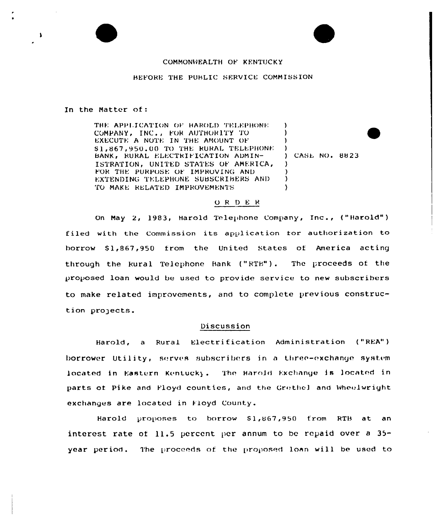## COMMONWEALTH OF KENTUCKY

## BEFORE THE PUBLIC SERVICE COMMISSION

In the Matter of:

THE APPLICATION OF HAROLD TELEPHONE.  $\lambda$ COMPANY, INC., FOR AUTHORITY TO J. EXECUTE A NOTE IN THE AMOUNT OF -l \$1,867,950.00 TO THE RURAL TELEPHONE -1 BANK, RURAL ELECTRIFICATION ADMIN-ISTRATION, UNITED STATES OF AMERICA, Δ. FOR THE PURPOSE OF IMPROVING AND EXTENDING TELEPHONE SUBSCRIBERS AND  $\lambda$ TO MAKE RELATED IMPROVEMENTS  $\lambda$ 

) CASE NO. 8823

#### ORDER

On May 2, 1983, Harold Telephone Company, Inc., ("Harold") filed with the Commission its application for authorization to borrow \$1,867,950 from the United States of America acting through the Rural Telephone Bank ("RTB"). The proceeds of the proposed loan would be used to provide service to new subscribers to make related improvements, and to complete previous construction projects.

### Discussion

Harold, a Rural Electrification Administration ("REA") borrower Utility, serves subscribers in a three-exchange system located in Eastern Kentucky. The Harold Exchange is located in parts of Pike and Floyd counties, and the Grethel and Wheelwright exchanges are located in Floyd County.

Harold proposes to borrow \$1,867,950 from RTB at an interest rate of 11.5 percent per annum to be repaid over a  $35$ year period. The proceeds of the proposed loan will be used to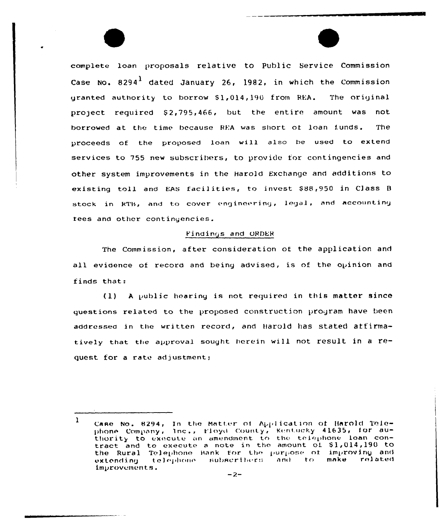complete loan proposals relative to Public Service Commission Case No.  $8294<sup>1</sup>$  dated January 26, 1982, in which the Commission granted authority to borrow \$1,014,190 from REA. The original project required \$2,795,466, but the entire amount was not borrowed at the time because REA was short of loan funds. The proceeds of the proposed loan will also be used to extend services to 755 new subscribers, to provide for contingencies and other system improvements in the Harold Exchange and additions to existing toll and EAS facilities, to invest \$88,950 in Class B stock in RTB, and to cover engineering, legal, and accounting tees and other contingencies.

# Findings and ORDER

The Commission, after consideration of the application and all evidence of record and being advised, is of the opinion and finds that:

(1) A public hearing is not required in this matter since questions related to the proposed construction program have been addressed in the written record, and Harold has stated affirmatively that the approval sought herein will not result in a request for a rate adjustment;

 $\mathbf{1}$ Case No. 8294, In the Matter of Application of Harold Telephone Company, Inc., Floyd County, Kentucky 41635, for authority to execute an amendment to the telephone loan contract and to execute a note in the amount of \$1,014,190 to the Rural Telephone Bank for the purpose of improving and telephone subscribers and to. make related extending improvements.